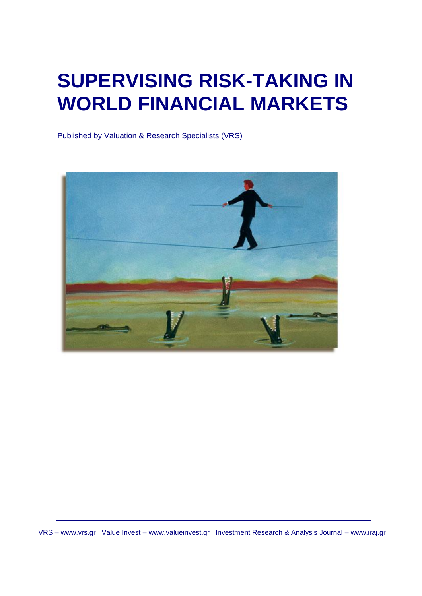## **SUPERVISING RISK-TAKING IN WORLD FINANCIAL MARKETS**

Published by Valuation & Research Specialists (VRS)



VRS – www.vrs.gr Value Invest – www.valueinvest.gr Investment Research & Analysis Journal – www.iraj.gr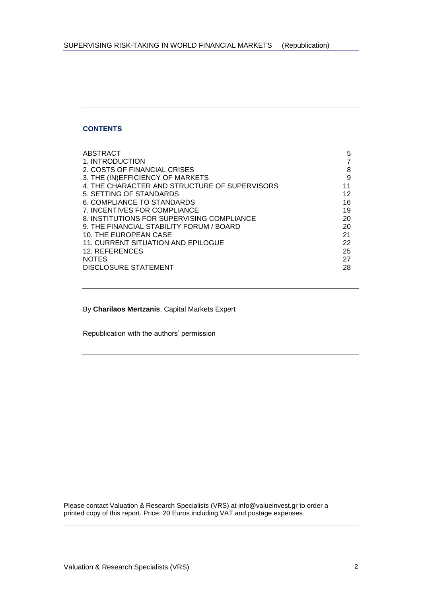## **CONTENTS**

| ABSTRACT                                      | 5  |
|-----------------------------------------------|----|
| 1. INTRODUCTION                               |    |
| 2. COSTS OF FINANCIAL CRISES                  | 8  |
| 3. THE (IN)EFFICIENCY OF MARKETS              | 9  |
| 4. THE CHARACTER AND STRUCTURE OF SUPERVISORS | 11 |
| 5. SETTING OF STANDARDS                       | 12 |
| 6. COMPLIANCE TO STANDARDS                    | 16 |
| 7. INCENTIVES FOR COMPLIANCE                  | 19 |
| 8. INSTITUTIONS FOR SUPERVISING COMPLIANCE    | 20 |
| 9. THE FINANCIAL STABILITY FORUM / BOARD      | 20 |
| 10. THE EUROPEAN CASE                         | 21 |
| <b>11. CURRENT SITUATION AND EPILOGUE</b>     | 22 |
| 12. REFERENCES                                | 25 |
| <b>NOTES</b>                                  | 27 |
| DISCLOSURE STATEMENT                          | 28 |

By **Charilaos Mertzanis**, Capital Markets Expert

Republication with the authors' permission

Please contact Valuation & Research Specialists (VRS) at info@valueinvest.gr to order a printed copy of this report. Price: 20 Euros including VAT and postage expenses.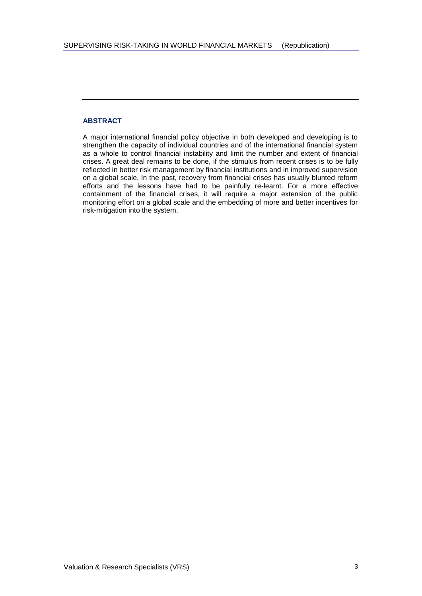## **ABSTRACT**

A major international financial policy objective in both developed and developing is to strengthen the capacity of individual countries and of the international financial system as a whole to control financial instability and limit the number and extent of financial crises. A great deal remains to be done, if the stimulus from recent crises is to be fully reflected in better risk management by financial institutions and in improved supervision on a global scale. In the past, recovery from financial crises has usually blunted reform efforts and the lessons have had to be painfully re-learnt. For a more effective containment of the financial crises, it will require a major extension of the public monitoring effort on a global scale and the embedding of more and better incentives for risk-mitigation into the system.